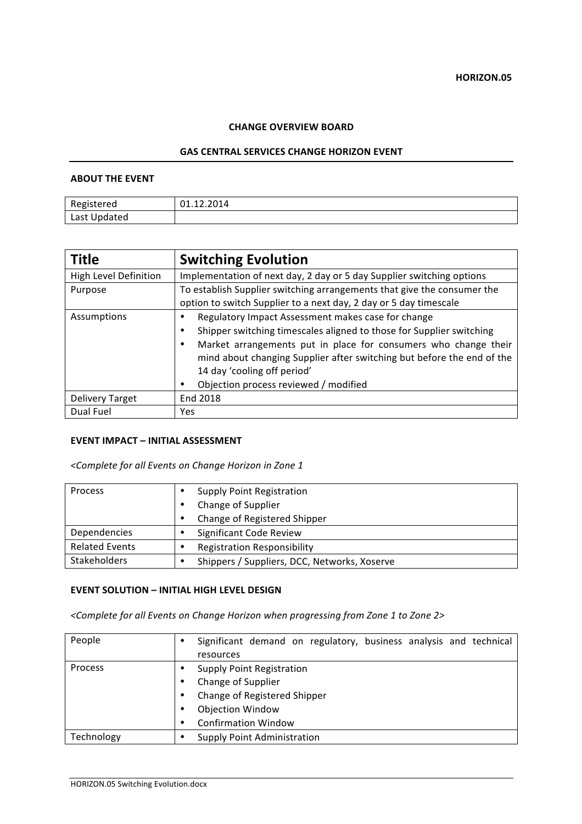## **CHANGE OVERVIEW BOARD**

#### **GAS CENTRAL SERVICES CHANGE HORIZON EVENT**

## **ABOUT THE EVENT**

| Registered   | 01.12.2014 |
|--------------|------------|
| Last Updated |            |

| <b>Title</b>                 | <b>Switching Evolution</b>                                                                                                                     |  |
|------------------------------|------------------------------------------------------------------------------------------------------------------------------------------------|--|
| <b>High Level Definition</b> | Implementation of next day, 2 day or 5 day Supplier switching options                                                                          |  |
| Purpose                      | To establish Supplier switching arrangements that give the consumer the                                                                        |  |
|                              | option to switch Supplier to a next day, 2 day or 5 day timescale                                                                              |  |
| Assumptions                  | Regulatory Impact Assessment makes case for change                                                                                             |  |
|                              | Shipper switching timescales aligned to those for Supplier switching                                                                           |  |
|                              | Market arrangements put in place for consumers who change their<br>٠<br>mind about changing Supplier after switching but before the end of the |  |
|                              | 14 day 'cooling off period'                                                                                                                    |  |
|                              | Objection process reviewed / modified                                                                                                          |  |
| <b>Delivery Target</b>       | End 2018                                                                                                                                       |  |
| Dual Fuel                    | Yes                                                                                                                                            |  |

### **EVENT IMPACT – INITIAL ASSESSMENT**

*<Complete for all Events on Change Horizon in Zone 1*

| Process               |   | <b>Supply Point Registration</b>             |
|-----------------------|---|----------------------------------------------|
|                       |   | Change of Supplier                           |
|                       | ٠ | Change of Registered Shipper                 |
| Dependencies          |   | Significant Code Review                      |
| <b>Related Events</b> |   | <b>Registration Responsibility</b>           |
| <b>Stakeholders</b>   |   | Shippers / Suppliers, DCC, Networks, Xoserve |

### **EVENT SOLUTION - INITIAL HIGH LEVEL DESIGN**

<Complete for all Events on Change Horizon when progressing from Zone 1 to Zone 2>

| People     | ٠ | Significant demand on regulatory, business analysis and technical<br>resources |
|------------|---|--------------------------------------------------------------------------------|
| Process    |   | <b>Supply Point Registration</b>                                               |
|            | ٠ | Change of Supplier                                                             |
|            |   | Change of Registered Shipper                                                   |
|            |   | <b>Objection Window</b>                                                        |
|            | ٠ | <b>Confirmation Window</b>                                                     |
| Technology | ٠ | <b>Supply Point Administration</b>                                             |